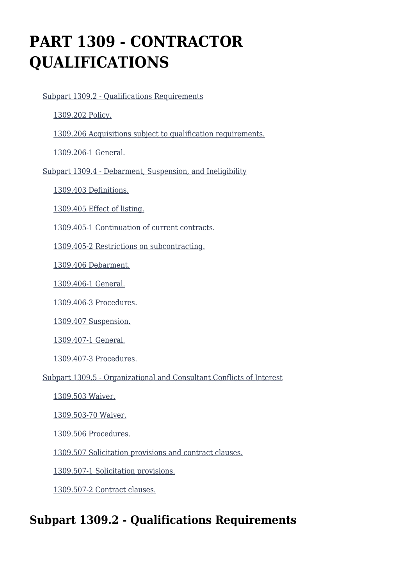# **PART 1309 - CONTRACTOR QUALIFICATIONS**

[Subpart 1309.2 - Qualifications Requirements](https://login.acquisition.gov/%5Brp:link:car-part-1309%5D#Subpart_1309_2_T48_50644101)

[1309.202 Policy.](https://login.acquisition.gov/%5Brp:link:car-part-1309%5D#Section_1309_202_T48_5064410111)

[1309.206 Acquisitions subject to qualification requirements.](https://login.acquisition.gov/%5Brp:link:car-part-1309%5D#Section_1309_206_T48_5064410112)

[1309.206-1 General.](https://login.acquisition.gov/%5Brp:link:car-part-1309%5D#Section_1309_206_1_T48_5064410113)

[Subpart 1309.4 - Debarment, Suspension, and Ineligibility](https://login.acquisition.gov/%5Brp:link:car-part-1309%5D#Subpart_1309_4_T48_50644102)

[1309.403 Definitions.](https://login.acquisition.gov/%5Brp:link:car-part-1309%5D#Section_1309_403_T48_5064410211)

[1309.405 Effect of listing.](https://login.acquisition.gov/%5Brp:link:car-part-1309%5D#Section_1309_405_T48_5064410212)

[1309.405-1 Continuation of current contracts.](https://login.acquisition.gov/%5Brp:link:car-part-1309%5D#Section_1309_405_1_T48_5064410213)

[1309.405-2 Restrictions on subcontracting.](https://login.acquisition.gov/%5Brp:link:car-part-1309%5D#Section_1309_405_2_T48_5064410214)

[1309.406 Debarment.](https://login.acquisition.gov/%5Brp:link:car-part-1309%5D#Section_1309_406_T48_5064410215)

[1309.406-1 General.](https://login.acquisition.gov/%5Brp:link:car-part-1309%5D#Section_1309_406_1_T48_5064410216)

[1309.406-3 Procedures.](https://login.acquisition.gov/%5Brp:link:car-part-1309%5D#Section_1309_406_3_T48_5064410217)

[1309.407 Suspension.](https://login.acquisition.gov/%5Brp:link:car-part-1309%5D#Section_1309_407_T48_5064410218)

[1309.407-1 General.](https://login.acquisition.gov/%5Brp:link:car-part-1309%5D#Section_1309_407_1_T48_5064410219)

[1309.407-3 Procedures.](https://login.acquisition.gov/%5Brp:link:car-part-1309%5D#Section_1309_407_3_T48_50644102110)

[Subpart 1309.5 - Organizational and Consultant Conflicts of Interest](https://login.acquisition.gov/%5Brp:link:car-part-1309%5D#Subpart_1309_5_T48_50644103)

[1309.503 Waiver.](https://login.acquisition.gov/%5Brp:link:car-part-1309%5D#Section_1309_503_T48_5064410311)

[1309.503-70 Waiver.](https://login.acquisition.gov/%5Brp:link:car-part-1309%5D#Section_1309_503_70_T48_5064410312)

[1309.506 Procedures.](https://login.acquisition.gov/%5Brp:link:car-part-1309%5D#Section_1309_506_T48_5064410313)

[1309.507 Solicitation provisions and contract clauses.](https://login.acquisition.gov/%5Brp:link:car-part-1309%5D#Section_1309_507_T48_5064410314)

[1309.507-1 Solicitation provisions.](https://login.acquisition.gov/%5Brp:link:car-part-1309%5D#Section_1309_507_1_T48_5064410315)

[1309.507-2 Contract clauses.](https://login.acquisition.gov/%5Brp:link:car-part-1309%5D#Section_1309_507_2_T48_5064410316)

# **Subpart 1309.2 - Qualifications Requirements**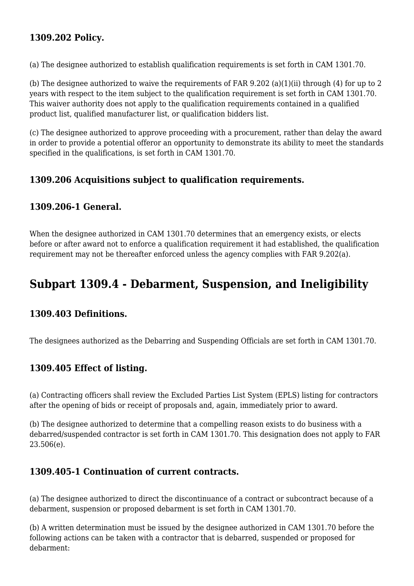# **1309.202 Policy.**

(a) The designee authorized to establish qualification requirements is set forth in CAM 1301.70.

(b) The designee authorized to waive the requirements of FAR 9.202 (a)(1)(ii) through (4) for up to 2 years with respect to the item subject to the qualification requirement is set forth in CAM 1301.70. This waiver authority does not apply to the qualification requirements contained in a qualified product list, qualified manufacturer list, or qualification bidders list.

(c) The designee authorized to approve proceeding with a procurement, rather than delay the award in order to provide a potential offeror an opportunity to demonstrate its ability to meet the standards specified in the qualifications, is set forth in CAM 1301.70.

#### **1309.206 Acquisitions subject to qualification requirements.**

#### **1309.206-1 General.**

When the designee authorized in CAM 1301.70 determines that an emergency exists, or elects before or after award not to enforce a qualification requirement it had established, the qualification requirement may not be thereafter enforced unless the agency complies with FAR 9.202(a).

# **Subpart 1309.4 - Debarment, Suspension, and Ineligibility**

#### **1309.403 Definitions.**

The designees authorized as the Debarring and Suspending Officials are set forth in CAM 1301.70.

#### **1309.405 Effect of listing.**

(a) Contracting officers shall review the Excluded Parties List System (EPLS) listing for contractors after the opening of bids or receipt of proposals and, again, immediately prior to award.

(b) The designee authorized to determine that a compelling reason exists to do business with a debarred/suspended contractor is set forth in CAM 1301.70. This designation does not apply to FAR 23.506(e).

#### **1309.405-1 Continuation of current contracts.**

(a) The designee authorized to direct the discontinuance of a contract or subcontract because of a debarment, suspension or proposed debarment is set forth in CAM 1301.70.

(b) A written determination must be issued by the designee authorized in CAM 1301.70 before the following actions can be taken with a contractor that is debarred, suspended or proposed for debarment: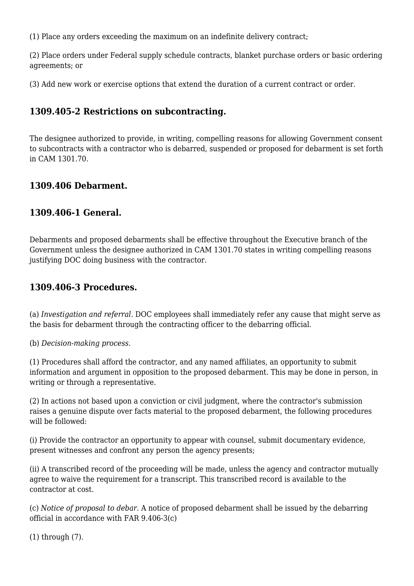(1) Place any orders exceeding the maximum on an indefinite delivery contract;

(2) Place orders under Federal supply schedule contracts, blanket purchase orders or basic ordering agreements; or

(3) Add new work or exercise options that extend the duration of a current contract or order.

# **1309.405-2 Restrictions on subcontracting.**

The designee authorized to provide, in writing, compelling reasons for allowing Government consent to subcontracts with a contractor who is debarred, suspended or proposed for debarment is set forth in CAM 1301.70.

# **1309.406 Debarment.**

#### **1309.406-1 General.**

Debarments and proposed debarments shall be effective throughout the Executive branch of the Government unless the designee authorized in CAM 1301.70 states in writing compelling reasons justifying DOC doing business with the contractor.

#### **1309.406-3 Procedures.**

(a) *Investigation and referral.* DOC employees shall immediately refer any cause that might serve as the basis for debarment through the contracting officer to the debarring official.

(b) *Decision-making process.*

(1) Procedures shall afford the contractor, and any named affiliates, an opportunity to submit information and argument in opposition to the proposed debarment. This may be done in person, in writing or through a representative.

(2) In actions not based upon a conviction or civil judgment, where the contractor's submission raises a genuine dispute over facts material to the proposed debarment, the following procedures will be followed:

(i) Provide the contractor an opportunity to appear with counsel, submit documentary evidence, present witnesses and confront any person the agency presents;

(ii) A transcribed record of the proceeding will be made, unless the agency and contractor mutually agree to waive the requirement for a transcript. This transcribed record is available to the contractor at cost.

(c) *Notice of proposal to debar.* A notice of proposed debarment shall be issued by the debarring official in accordance with FAR 9.406-3(c)

(1) through (7).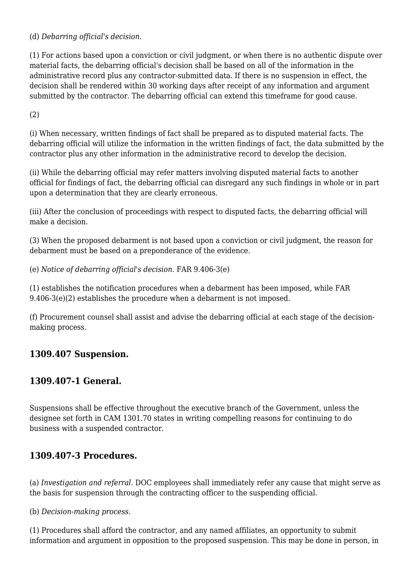(d) *Debarring official's decision.*

(1) For actions based upon a conviction or civil judgment, or when there is no authentic dispute over material facts, the debarring official's decision shall be based on all of the information in the administrative record plus any contractor-submitted data. If there is no suspension in effect, the decision shall be rendered within 30 working days after receipt of any information and argument submitted by the contractor. The debarring official can extend this timeframe for good cause.

(2)

(i) When necessary, written findings of fact shall be prepared as to disputed material facts. The debarring official will utilize the information in the written findings of fact, the data submitted by the contractor plus any other information in the administrative record to develop the decision.

(ii) While the debarring official may refer matters involving disputed material facts to another official for findings of fact, the debarring official can disregard any such findings in whole or in part upon a determination that they are clearly erroneous.

(iii) After the conclusion of proceedings with respect to disputed facts, the debarring official will make a decision.

(3) When the proposed debarment is not based upon a conviction or civil judgment, the reason for debarment must be based on a preponderance of the evidence.

(e) *Notice of debarring official's decision.* FAR 9.406-3(e)

(1) establishes the notification procedures when a debarment has been imposed, while FAR 9.406-3(e)(2) establishes the procedure when a debarment is not imposed.

(f) Procurement counsel shall assist and advise the debarring official at each stage of the decisionmaking process.

# **1309.407 Suspension.**

# **1309.407-1 General.**

Suspensions shall be effective throughout the executive branch of the Government, unless the designee set forth in CAM 1301.70 states in writing compelling reasons for continuing to do business with a suspended contractor.

# **1309.407-3 Procedures.**

(a) *Investigation and referral.* DOC employees shall immediately refer any cause that might serve as the basis for suspension through the contracting officer to the suspending official.

(b) *Decision-making process.*

(1) Procedures shall afford the contractor, and any named affiliates, an opportunity to submit information and argument in opposition to the proposed suspension. This may be done in person, in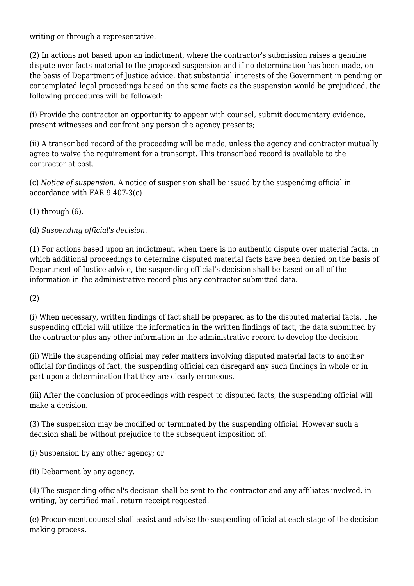writing or through a representative.

(2) In actions not based upon an indictment, where the contractor's submission raises a genuine dispute over facts material to the proposed suspension and if no determination has been made, on the basis of Department of Justice advice, that substantial interests of the Government in pending or contemplated legal proceedings based on the same facts as the suspension would be prejudiced, the following procedures will be followed:

(i) Provide the contractor an opportunity to appear with counsel, submit documentary evidence, present witnesses and confront any person the agency presents;

(ii) A transcribed record of the proceeding will be made, unless the agency and contractor mutually agree to waive the requirement for a transcript. This transcribed record is available to the contractor at cost.

(c) *Notice of suspension.* A notice of suspension shall be issued by the suspending official in accordance with FAR 9.407-3(c)

(1) through (6).

(d) *Suspending official's decision.*

(1) For actions based upon an indictment, when there is no authentic dispute over material facts, in which additional proceedings to determine disputed material facts have been denied on the basis of Department of Justice advice, the suspending official's decision shall be based on all of the information in the administrative record plus any contractor-submitted data.

(2)

(i) When necessary, written findings of fact shall be prepared as to the disputed material facts. The suspending official will utilize the information in the written findings of fact, the data submitted by the contractor plus any other information in the administrative record to develop the decision.

(ii) While the suspending official may refer matters involving disputed material facts to another official for findings of fact, the suspending official can disregard any such findings in whole or in part upon a determination that they are clearly erroneous.

(iii) After the conclusion of proceedings with respect to disputed facts, the suspending official will make a decision.

(3) The suspension may be modified or terminated by the suspending official. However such a decision shall be without prejudice to the subsequent imposition of:

(i) Suspension by any other agency; or

(ii) Debarment by any agency.

(4) The suspending official's decision shall be sent to the contractor and any affiliates involved, in writing, by certified mail, return receipt requested.

(e) Procurement counsel shall assist and advise the suspending official at each stage of the decisionmaking process.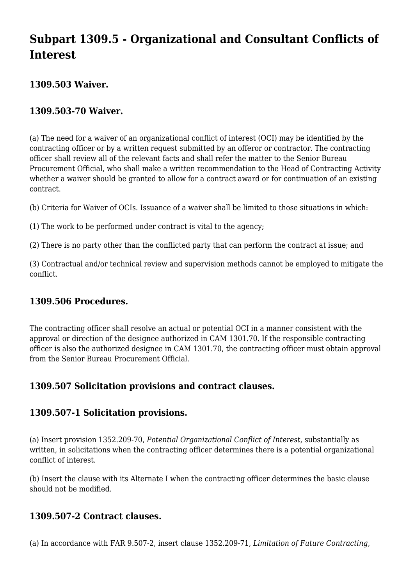# **Subpart 1309.5 - Organizational and Consultant Conflicts of Interest**

# **1309.503 Waiver.**

# **1309.503-70 Waiver.**

(a) The need for a waiver of an organizational conflict of interest (OCI) may be identified by the contracting officer or by a written request submitted by an offeror or contractor. The contracting officer shall review all of the relevant facts and shall refer the matter to the Senior Bureau Procurement Official, who shall make a written recommendation to the Head of Contracting Activity whether a waiver should be granted to allow for a contract award or for continuation of an existing contract.

(b) Criteria for Waiver of OCIs. Issuance of a waiver shall be limited to those situations in which:

(1) The work to be performed under contract is vital to the agency;

(2) There is no party other than the conflicted party that can perform the contract at issue; and

(3) Contractual and/or technical review and supervision methods cannot be employed to mitigate the conflict.

# **1309.506 Procedures.**

The contracting officer shall resolve an actual or potential OCI in a manner consistent with the approval or direction of the designee authorized in CAM 1301.70. If the responsible contracting officer is also the authorized designee in CAM 1301.70, the contracting officer must obtain approval from the Senior Bureau Procurement Official.

# **1309.507 Solicitation provisions and contract clauses.**

# **1309.507-1 Solicitation provisions.**

(a) Insert provision 1352.209-70, *Potential Organizational Conflict of Interest,* substantially as written, in solicitations when the contracting officer determines there is a potential organizational conflict of interest.

(b) Insert the clause with its Alternate I when the contracting officer determines the basic clause should not be modified.

# **1309.507-2 Contract clauses.**

(a) In accordance with FAR 9.507-2, insert clause 1352.209-71, *Limitation of Future Contracting,*